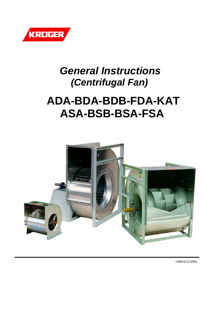

# *General Instructions (Centrifugal Fan)*

# **ADA-BDA-BDB-FDA-KAT ASA-BSB-BSA-FSA**



IGB016.E1/0902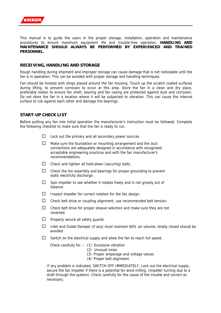

This manual is to guide the users in the proper storage, installation, operation and maintenance procedures to ensure maximum equipment life and trouble-free operation. **HANDLING AND MAINTENANCE SHOULD ALWAYS BE PERFORMED BY EXPERIENCED AND TRAINED PERSONNEL.**

### **RECEIVING, HANDLING AND STORAGE**

Rough handling during shipment and improper storage can cause damage that is not noticeable until the fan is in operation. This can be avoided with proper storage and handling techniques.

Fan should be hoisted with slings placed around the fan housing. Touch up the scratch coated surfaces during lifting, to prevent corrosion to occur at this area. Store the fan in a clean and dry place, preferably indoor to ensure fan shaft, bearing and fan casing are protected against dust and corrosion. Do not store the fan in a location where it will be subjected to vibration. This can cause the internal surface to rub against each other and damage the bearings.

### **START-UP CHECK LIST**

Before putting any fan into initial operation the manufacturer's instruction must be followed. Complete the following checklist to make sure that the fan is ready to run.

- $\Box$  Lock out the primary and all secondary power sources.
- $\Box$  Make sure the foundation or mounting arrangement and the duct connections are adequately designed in accordance with recognized acceptable engineering practices and with the fan manufacturer's recommendations.
- $\Box$  Check and tighten all hold-down (securing) bolts.
- $\Box$  Check the fan assembly and bearings for proper grounding to prevent static electricity discharge.
- $\square$  Spin impeller to see whether it rotates freely and is not grossly out of balance.
- $\Box$  Inspect impeller for correct rotation for the fan design.
- $\Box$  Check belt drive or coupling alignment, use recommended belt tension.
- $\Box$  Check belt drive for proper sheave selection and make sure they are not reversed.
- $\Box$  Properly secure all safety quards.
- $\Box$  Inlet and Outlet Damper (if any) must maintain 60% air volume, totally closed should be avoided
- $\Box$  Switch on the electrical supply and allow the fan to reach full speed.

Check carefully for :- (1) Excessive vibration

- (2) Unusual noise
	- (3) Proper amperage and voltage values
- (4) Proper belt alignment

If any problem is indicated, SWITCH OFF IMMEDIATELY. Lock out the electrical supply, secure the fan impeller if there is a potential for wind milling. (impeller turning due to a draft through the system). Check carefully for the cause of the trouble and correct as necessary.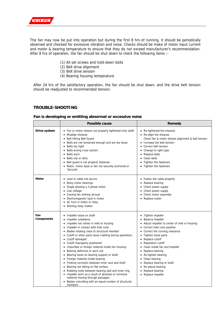

The fan may now be put into operation but during the first 8 hrs of running, it should be periodically observed and checked for excessive vibration and noise. Checks should be make of motor input current and motor & bearing temperature to ensure that they do not exceed manufacturer's recommendation. After 8 hrs of operation, the fan should be shut down to check the following items :-

- (1) All set screws and hold-down bolts
- (2) Belt drive alignment
- (3) Belt drive tension
- (4) Bearing housing temperature

After 24 hrs of the satisfactory operation, the fan should be shut down, and the drive belt tension should be readjusted to recommended tension.

### **TROUBLE-SHOOTING**

### **Fan is developing or emitting abnormal or excessive noise**

|                          | Possible cause                                                                                                                                                                                                                                                                                                                                                                                                                                                                                                                                                                                                                                                                                                                                                                          | Remedy                                                                                                                                                                                                                                                                                                                                                                                                                                 |
|--------------------------|-----------------------------------------------------------------------------------------------------------------------------------------------------------------------------------------------------------------------------------------------------------------------------------------------------------------------------------------------------------------------------------------------------------------------------------------------------------------------------------------------------------------------------------------------------------------------------------------------------------------------------------------------------------------------------------------------------------------------------------------------------------------------------------------|----------------------------------------------------------------------------------------------------------------------------------------------------------------------------------------------------------------------------------------------------------------------------------------------------------------------------------------------------------------------------------------------------------------------------------------|
| Drive system             | • Fan or motor sheave not properly tightened onto shaft<br>Misalign sheaves<br>Belt hitting Belt Guard<br>Belts are not tensioned enough and are too loose<br>Belts too tight<br>Belts wrong cross section<br>Belts worn<br>Belts oily or dirty<br>Belt guard is not properly fastened<br>• Motor, motor base or fan not securely anchored or<br>Secured                                                                                                                                                                                                                                                                                                                                                                                                                                | • Re-tightened the sheaves<br>• Re-align the sheaves<br>Check fan & motor sheave alignment & belt tension<br>Increase the belt tension<br>Correct belt tension<br>Change to right type<br>Replace belts<br>Clean belts<br>$\bullet$<br>Tighten the fasteners<br>Tighten the fasteners                                                                                                                                                  |
| Motor                    | • Lean-in cable not secure<br>Noisy motor bearings<br>Single phasing a 3 phase motor<br>• Low voltage<br>• Cooling fan striking shroud<br>Electromagnetic fault in motor<br>• AC hum in motor or relay<br>• Starting relay chatter                                                                                                                                                                                                                                                                                                                                                                                                                                                                                                                                                      | • Fasten the cable properly<br>Replace bearing<br>Check power supply<br>٠<br>Check power supply<br>Check motor assembly<br>Replace motor                                                                                                                                                                                                                                                                                               |
| Fan<br><b>Components</b> | Impeller loose on shaft<br>Impeller unbalance<br>Impeller not center in inlet or housing<br>Impeller in contact with inlet cone<br>Blades rotating close to structural member<br>Cutoff or other parts loose (rattling during operation)<br>• Cutoff damaged<br>• Cutoff improperly positioned<br>Impurities or foreign material inside fan housing<br>Bearing defective or worn out<br>Bearing loose on bearing support or shaft<br>• Foreign material inside bearing<br>• Fretting corrosion between inner race and shaft<br>Bearing not sitting on flat surface<br>Rubbing noise between bearing seal and inner ring<br>• Impeller worn as a result of abrasive or corrosive<br>material moving through passages.<br>Blades coinciding with an equal number of structural<br>members | Tighten impeller<br>٠<br>Balance impeller<br>Adjust impeller to center of inlet or housing<br>Correct inlet cone position<br>Correct the running clearance<br>Tighten loose parts<br>٠<br>Replace cutoff<br>٠<br><b>Reposition cutoff</b><br>Clean inside fan and impeller<br>Replace bearing<br>Re-tighten bearing<br>٠<br>Clean bearing<br>٠<br>Replace bearing or shaft<br>Re-adjust bearing<br>Replace bearing<br>Replace impeller |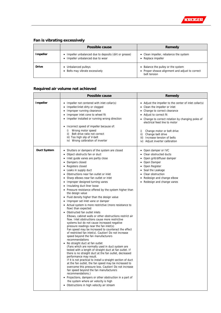

### **Fan is vibrating excessively**

|                 | Possible cause                                                                                         | Remedy                                                                                                |
|-----------------|--------------------------------------------------------------------------------------------------------|-------------------------------------------------------------------------------------------------------|
| <b>Impeller</b> | • Impeller unbalanced due to deposits (dirt or grease)<br>Impeller unbalanced due to wear<br>$\bullet$ | • Clean impeller, rebalance the system<br>• Replace impeller                                          |
| <b>Drive</b>    | Unbalanced pulleys<br>٠<br>Belts may vibrate excessively<br>$\bullet$                                  | • Balance the pulley or the system<br>• Proper sheave alignment and adjust to correct<br>belt tension |

### **Required air volume not achieved**

|                 | <b>Possible cause</b>                                                                                                                                                                                                                                                                                                                                                                                                                                                                                                                                                                                                                                                                                                                                                                                                                                                                                                                                                                                                                                                                                                                                                                                                                                                                                                                                                                                                                                                                                                                                                                                                                                                                               | Remedy                                                                                                                                                                                                                                                                                                                                                                         |
|-----------------|-----------------------------------------------------------------------------------------------------------------------------------------------------------------------------------------------------------------------------------------------------------------------------------------------------------------------------------------------------------------------------------------------------------------------------------------------------------------------------------------------------------------------------------------------------------------------------------------------------------------------------------------------------------------------------------------------------------------------------------------------------------------------------------------------------------------------------------------------------------------------------------------------------------------------------------------------------------------------------------------------------------------------------------------------------------------------------------------------------------------------------------------------------------------------------------------------------------------------------------------------------------------------------------------------------------------------------------------------------------------------------------------------------------------------------------------------------------------------------------------------------------------------------------------------------------------------------------------------------------------------------------------------------------------------------------------------------|--------------------------------------------------------------------------------------------------------------------------------------------------------------------------------------------------------------------------------------------------------------------------------------------------------------------------------------------------------------------------------|
| <b>Impeller</b> | • Impeller not centered with inlet collar(s)<br>Impeller/inlet dirty or clogged<br>٠<br>Improper running clearance<br>٠<br>Improper inlet cone to wheel fit<br>Impeller installed or running wrong direction<br>٠<br>Incorrect speed of impeller because of:<br>٠<br>Wrong motor speed<br>i)<br>ii) Belt drive ratio not correct<br>iii) Too high slip of V-belt<br>iv) Wrong calibration of inverter                                                                                                                                                                                                                                                                                                                                                                                                                                                                                                                                                                                                                                                                                                                                                                                                                                                                                                                                                                                                                                                                                                                                                                                                                                                                                               | • Adjust the impeller to the center of inlet collar(s)<br>• Clean the impeller or inlet<br>• Change to correct clearance<br>• Adjust to correct fit<br>• Change to correct rotation by changing poles of<br>electrical feed line to motor<br>i)<br>Change motor or belt drive<br>ii)<br>Change belt drive<br>iii) Increase tension of belts<br>iv) Adjust inverter calibration |
| Duct System     | • Shutters or dampers of the system are closed<br>Object obstructs fan or duct<br>٠<br>Inlet guide vanes are partly close<br>٠<br>Dampers closed<br>٠<br>Registers closed<br>Leaks in supply duct<br>٠<br>Obstructions near fan outlet or inlet<br>٠<br>Sharp elbows near fan outlet or inlet<br>٠<br>Improper designed turning vanes<br>٠<br>Insulating duct liner loose<br>• Pressure resistance offered by the system higher than<br>the design value<br>Fluid density higher than the design value<br>٠<br>Improper set inlet vane or damper<br>٠<br>• Actual system is more restrictive (more resistance to<br>flow) than expected<br>Obstructed fan outlet inlets<br>Elbows, cabinet walls or other obstructions restrict air<br>flow. Inlet obstructions cause more restrictive<br>systems but do not cause increased negative<br>pressure readings near the fan inlet(s)<br>Fan speed may be increased to counteract the effect<br>of restricted fan inlet(s). Caution! Do not increase<br>speed beyond the fan manufacturers<br>recommendations<br>• No straight duct at fan outlet<br>(Fans which are normally used in duct system are<br>tested with a length of straight duct at fan outlet. If<br>there is no straight duct at the fan outlet, decreased<br>performance may result.<br>If it is not practical to install a straight section of duct<br>at the fan outlet, the fan speed may be increased to<br>overcome this pressure loss. Caution! Do not increase<br>fan speed beyond the fan manufacturers<br>recommendations.)<br>• Projections, dampers or other obstruction in a part of<br>the system where air velocity is high<br>• Obstructions in high velocity air stream | • Open damper or IVC<br>• Clear obstructed ducts<br>• Open grill/diffuser damper<br>• Open Damper<br>• Open Register<br>• Seal the Leakage<br>• Clear obstruction<br>• Redesign and change elbow<br>• Redesign and change vanes                                                                                                                                                |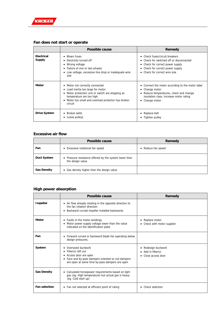

### **Fan does not start or operate**

|                                    | Possible cause                                                                                                                                                                                                                    | Remedy                                                                                                                                                                              |
|------------------------------------|-----------------------------------------------------------------------------------------------------------------------------------------------------------------------------------------------------------------------------------|-------------------------------------------------------------------------------------------------------------------------------------------------------------------------------------|
| <b>Electrical</b><br><b>Supply</b> | <b>Blown fuses</b><br>Electricity turned off<br>Wrong voltage<br>• Failure of one or two phases<br>Low voltage, excessive line drop or inadequate wire<br>size                                                                    | • Check fuses/circuit breakers<br>• Check for switched off or disconnected<br>• Check for correct power supply<br>• Check for correct power supply<br>• Check for correct wire size |
| <b>Motor</b>                       | • Motor not correctly connected<br>Load inertia too large for motor<br>$\bullet$<br>Motor protection unit or switch are stopping as<br>temperature are too high<br>• Motor too small and overload protector has broken<br>circuit | • Connect the motor according to the motor label<br>• Change motor<br>Reduce temperatures, check and change<br>insulation class, increase motor rating<br>• Change motor            |
| <b>Drive System</b>                | Broken belts<br>Loose pulleys                                                                                                                                                                                                     | • Replace belt<br>• Tighten pulley                                                                                                                                                  |

### **Excessive air flow**

|                    | Possible cause                                                             | Remedy             |
|--------------------|----------------------------------------------------------------------------|--------------------|
| Fan                | Excessive rotational fan speed<br>$\bullet$                                | • Reduce fan speed |
| <b>Duct System</b> | • Pressure resistance offered by the system lower than<br>the design value |                    |
| <b>Gas Density</b> | Gas density higher than the design value<br>٠                              |                    |

### **High power absorption**

|                      | Possible cause                                                                                                                                                                   | Remedy                                                       |
|----------------------|----------------------------------------------------------------------------------------------------------------------------------------------------------------------------------|--------------------------------------------------------------|
| <b>Impeller</b>      | • Air flow already rotating in the opposite direction to<br>the fan rotation direction<br>Backward curved impeller installed backwards                                           |                                                              |
| <b>Motor</b>         | • Faults in the motor windings<br>Motor power supply voltage lower than the value<br>indicated on the identification plate                                                       | • Replace motor<br>• Check with motor supplier               |
| Fan                  | • Forward curved or backward blade fan operating below<br>design pressures.                                                                                                      |                                                              |
| System               | Oversized ductwork<br>Filter(s) left out<br>٠<br>• Access door are open<br>• Face and by-pass dampers oriented so coil dampers<br>are open at same time by-pass dampers are open | Redesign ductwork<br>• Add in filter(s)<br>Close access door |
| <b>Gas Density</b>   | • Calculated horsepower requirements based on light<br>gas (eg. High temperature) but actual gas is heavy<br>(eq. Cold start up)                                                 |                                                              |
| <b>Fan selection</b> | • Fan not selected at efficient point of rating                                                                                                                                  | Check selection                                              |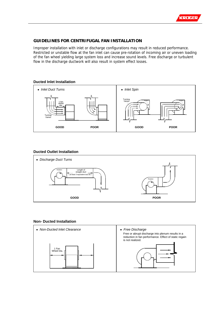

### **GUIDELINES FOR CENTRIFUGAL FAN INSTALLATION**

Improper installation with inlet or discharge configurations may result in reduced performance. Restricted or unstable flow at the fan inlet can cause pre-rotation of incoming air or uneven loading of the fan wheel yielding large system loss and increase sound levels. Free discharge or turbulent flow in the discharge ductwork will also result in system effect losses.

### **Ducted Inlet Installation**



### **Ducted Outlet Installation**



### **Non- Ducted Installation**

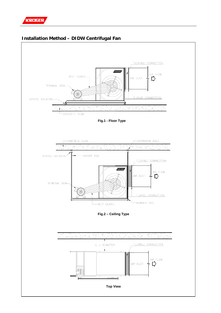

### **Installation Method – DIDW Centrifugal Fan**

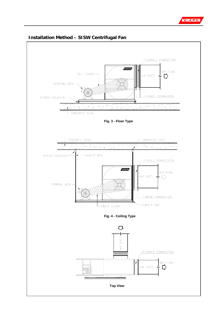



### **Installation Method – SISW Centrifugal Fan**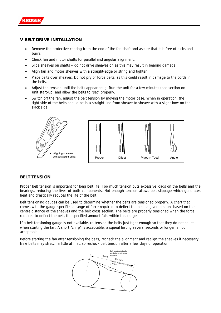

### **V-BELT DRIVE INSTALLATION**

- Remove the protective coating from the end of the fan shaft and assure that it is free of nicks and burrs.
- Check fan and motor shafts for parallel and angular alignment.
- Slide sheaves on shafts do not drive sheaves on as this may result in bearing damage.
- Align fan and motor sheaves with a straight-edge or string and tighten.
- Place belts over sheaves. Do not pry or force belts, as this could result in damage to the cords in the belts.
- Adjust the tension until the belts appear snug. Run the unit for a few minutes (see section on unit start-up) and allow the belts to "set" properly.
- Switch off the fan, adjust the belt tension by moving the motor base. When in operation, the tight side of the belts should be in a straight line from sheave to sheave with a slight bow on the slack side.



### **BELT TENSION**

Proper belt tension is important for long belt life. Too much tension puts excessive loads on the belts and the bearings, reducing the lives of both components. Not enough tension allows belt slippage which generates heat and drastically reduces the life of the belt.

Belt tensioning gauges can be used to determine whether the belts are tensioned properly. A chart that comes with the gauge specifies a range of force required to deflect the belts a given amount based on the centre distance of the sheaves and the belt cross section. The belts are properly tensioned when the force required to deflect the belt, the specified amount falls within this range.

If a belt tensioning gauge is not available, re-tension the belts just tight enough so that they do not squeal when starting the fan. A short "chirp" is acceptable; a squeal lasting several seconds or longer is not acceptable.

Before starting the fan after tensioning the belts, recheck the alignment and realign the sheaves if necessary. New belts may stretch a little at first, so recheck belt tension after a few days of operation.

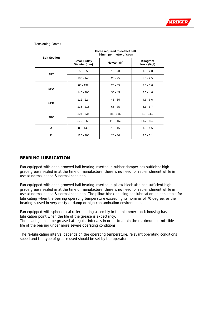

| <b>Belt Section</b> | Force required to deflect belt<br>16mm per metre of span |             |                         |
|---------------------|----------------------------------------------------------|-------------|-------------------------|
|                     | <b>Small Pulley</b><br>Diamter (mm)                      | Newton (N)  | Kilogram<br>force (Kgf) |
| <b>SPZ</b>          | $56 - 95$                                                | $13 - 20$   | $1.3 - 2.0$             |
|                     | $100 - 140$                                              | $20 - 25$   | $2.0 - 2.5$             |
| <b>SPA</b>          | $80 - 132$                                               | $25 - 35$   | $2.5 - 3.6$             |
|                     | $140 - 200$                                              | $35 - 45$   | $3.6 - 4.6$             |
| <b>SPB</b>          | $112 - 224$                                              | $45 - 65$   | $4.6 - 6.6$             |
|                     | $236 - 315$                                              | $65 - 85$   | $6.6 - 8.7$             |
| <b>SPC</b>          | $224 - 335$                                              | $85 - 115$  | $8.7 - 11.7$            |
|                     | $375 - 560$                                              | $115 - 150$ | $11.7 - 15.3$           |
| A                   | $80 - 140$                                               | $10 - 15$   | $1.0 - 1.5$             |
| в                   | $125 - 200$                                              | $20 - 30$   | $2.0 - 3.1$             |

Tensioning Forces

### **BEARING LUBRICATION**

Fan equipped with deep grooved ball bearing inserted in rubber damper has sufficient high grade grease sealed in at the time of manufacture, there is no need for replenishment while in use at normal speed & normal condition.

Fan equipped with deep grooved ball bearing inserted in pillow block also has sufficient high grade grease sealed in at the time of manufacture, there is no need for replenishment while in use at normal speed & normal condition. The pillow block housing has lubrication point suitable for lubricating when the bearing operating temperature exceeding its nominal of 70 degree, or the bearing is used in very dusty or damp or high contamination environment.

Fan equipped with spheriodical roller bearing assembly in the plummer block housing has lubrication point when the life of the grease is expectancy.

The bearings must be greased at regular intervals in order to attain the maximum permissible life of the bearing under more severe operating conditions.

The re-lubricating interval depends on the operating temperature, relevant operating conditions speed and the type of grease used should be set by the operator.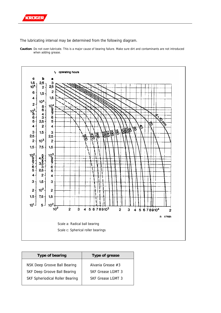

The lubricating interval may be determined from the following diagram.

**Caution**: Do not over-lubricate. This is a major cause of bearing failure. Make sure dirt and contaminants are not introduced when adding grease.



| Type of bearing                        | Type of grease    |  |
|----------------------------------------|-------------------|--|
| NSK Deep Groove Ball Bearing           | Alvania Grease #3 |  |
| <b>SKF Deep Groove Ball Bearing</b>    | SKE Grease LGMT 3 |  |
| <b>SKF Spheriodical Roller Bearing</b> | SKE Grease LGMT 3 |  |
|                                        |                   |  |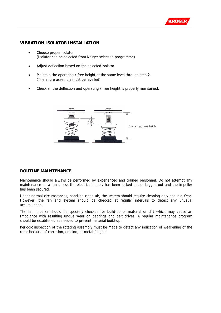

### **VIBRATION ISOLATOR INSTALLATION**

- Choose proper isolator (Isolator can be selected from Kruger selection programme)
- Adjust deflection based on the selected isolator.
- Maintain the operating / free height at the same level through step 2. (The entire assembly must be levelled)
- Check all the deflection and operating / free height is properly maintained.



### **ROUTINE MAINTENANCE**

Maintenance should always be performed by experienced and trained personnel. Do not attempt any maintenance on a fan unless the electrical supply has been locked out or tagged out and the impeller has been secured.

Under normal circumstances, handling clean air, the system should require cleaning only about a Year. However, the fan and system should be checked at regular intervals to detect any unusual accumulation.

The fan impeller should be specially checked for build-up of material or dirt which may cause an Imbalance with resulting undue wear on bearings and belt drives. A regular maintenance program should be established as needed to prevent material build-up.

Periodic inspection of the rotating assembly must be made to detect any indication of weakening of the rotor because of corrosion, erosion, or metal fatigue.